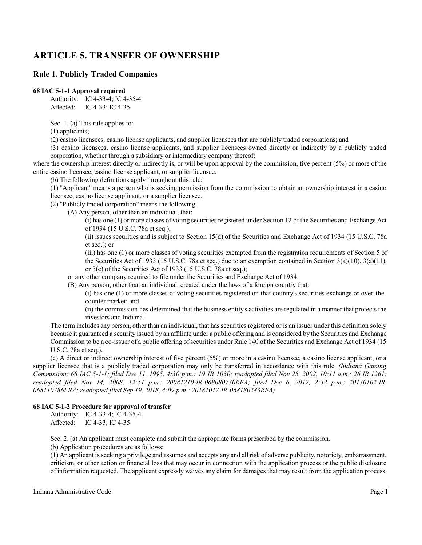# **ARTICLE 5. TRANSFER OF OWNERSHIP**

# **Rule 1. Publicly Traded Companies**

## **68 IAC 5-1-1 Approval required**

Authority: IC 4-33-4; IC 4-35-4 Affected: IC 4-33; IC 4-35

Sec. 1. (a) This rule applies to:

(1) applicants;

(2) casino licensees, casino license applicants, and supplier licensees that are publicly traded corporations; and

(3) casino licensees, casino license applicants, and supplier licensees owned directly or indirectly by a publicly traded corporation, whether through a subsidiary or intermediary company thereof;

where the ownership interest directly or indirectly is, or will be upon approval by the commission, five percent (5%) or more of the entire casino licensee, casino license applicant, or supplier licensee.

(b) The following definitions apply throughout this rule:

(1) "Applicant" means a person who is seeking permission from the commission to obtain an ownership interest in a casino licensee, casino license applicant, or a supplier licensee.

(2) "Publicly traded corporation" means the following:

(A) Any person, other than an individual, that:

 $(i)$  has one (1) or more classes of voting securities registered under Section 12 of the Securities and Exchange Act of 1934 (15 U.S.C. 78a et seq.);

(ii) issues securities and is subject to Section 15(d) of the Securities and Exchange Act of 1934 (15 U.S.C. 78a et seq.); or

(iii) has one (1) or more classes of voting securities exempted from the registration requirements of Section 5 of the Securities Act of 1933 (15 U.S.C. 78a et seq.) due to an exemption contained in Section 3(a)(10), 3(a)(11), or 3(c) of the Securities Act of 1933 (15 U.S.C. 78a et seq.);

or any other company required to file under the Securities and Exchange Act of 1934.

(B) Any person, other than an individual, created under the laws of a foreign country that:

(i) has one (1) or more classes of voting securities registered on that country's securities exchange or over-thecounter market; and

(ii) the commission has determined that the business entity's activities are regulated in a manner that protects the investors and Indiana.

The term includes any person, other than an individual, that has securities registered or is an issuer under this definition solely because it guaranteed a security issued by an affiliate under a public offering and is considered by the Securities and Exchange Commission to be a co-issuer of a public offering ofsecurities under Rule 140 of the Securities and Exchange Act of 1934 (15 U.S.C. 78a et seq.).

(c) A direct or indirect ownership interest of five percent (5%) or more in a casino licensee, a casino license applicant, or a supplier licensee that is a publicly traded corporation may only be transferred in accordance with this rule. *(Indiana Gaming Commission; 68 IAC 5-1-1; filed Dec 11, 1995, 4:30 p.m.: 19 IR 1030; readopted filed Nov 25, 2002, 10:11 a.m.: 26 IR 1261; readopted filed Nov 14, 2008, 12:51 p.m.: 20081210-IR-068080730RFA; filed Dec 6, 2012, 2:32 p.m.: 20130102-IR-068110786FRA; readopted filed Sep 19, 2018, 4:09 p.m.: 20181017-IR-068180283RFA)*

# **68 IAC 5-1-2 Procedure for approval of transfer**

Authority: IC 4-33-4; IC 4-35-4 Affected: IC 4-33; IC 4-35

Sec. 2. (a) An applicant must complete and submit the appropriate forms prescribed by the commission.

(b) Application procedures are as follows:

(1) An applicant isseeking a privilege and assumes and accepts any and all risk of adverse publicity, notoriety, embarrassment, criticism, or other action or financial loss that may occur in connection with the application process or the public disclosure of information requested. The applicant expressly waives any claim for damages that may result from the application process.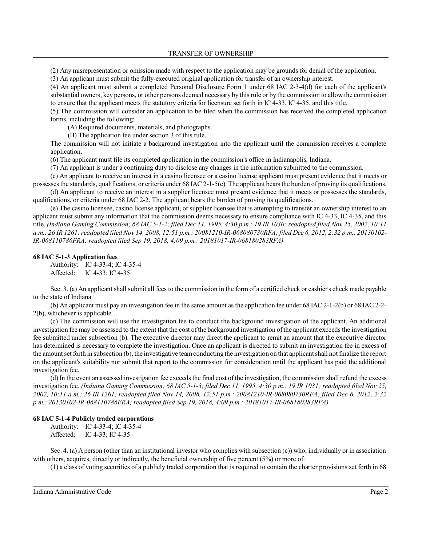TRANSFER OF OWNERSHIP

(2) Any misrepresentation or omission made with respect to the application may be grounds for denial of the application.

(3) An applicant must submit the fully-executed original application for transfer of an ownership interest.

(4) An applicant must submit a completed Personal Disclosure Form 1 under 68 IAC 2-3-4(d) for each of the applicant's substantial owners, key persons, or other persons deemed necessary by thisrule or by the commission to allow the commission to ensure that the applicant meets the statutory criteria for licensure set forth in IC 4-33, IC 4-35, and this title.

(5) The commission will consider an application to be filed when the commission has received the completed application forms, including the following:

(A) Required documents, materials, and photographs.

(B) The application fee under section 3 of this rule.

The commission will not initiate a background investigation into the applicant until the commission receives a complete application.

(6) The applicant must file its completed application in the commission's office in Indianapolis, Indiana.

(7) An applicant is under a continuing duty to disclose any changes in the information submitted to the commission.

(c) An applicant to receive an interest in a casino licensee or a casino license applicant must present evidence that it meets or possesses the standards, qualifications, or criteria under 68 IAC 2-1-5(c). The applicant bears the burden of proving its qualifications.

(d) An applicant to receive an interest in a supplier licensee must present evidence that it meets or possesses the standards, qualifications, or criteria under 68 IAC 2-2. The applicant bears the burden of proving its qualifications.

(e) The casino licensee, casino license applicant, or supplier licensee that is attempting to transfer an ownership interest to an applicant must submit any information that the commission deems necessary to ensure compliance with IC 4-33, IC 4-35, and this title. *(Indiana Gaming Commission; 68 IAC 5-1-2; filed Dec 11, 1995, 4:30 p.m.: 19 IR 1030; readopted filed Nov 25, 2002, 10:11 a.m.: 26 IR 1261;readopted filed Nov 14, 2008, 12:51 p.m.: 20081210-IR-068080730RFA; filed Dec 6, 2012, 2:32 p.m.: 20130102- IR-068110786FRA; readopted filed Sep 19, 2018, 4:09 p.m.: 20181017-IR-068180283RFA)*

## **68 IAC 5-1-3 Application fees**

Authority: IC 4-33-4; IC 4-35-4 Affected: IC 4-33; IC 4-35

Sec. 3. (a) An applicant shall submit all fees to the commission in the form of a certified check or cashier's check made payable to the state of Indiana.

(b) An applicant must pay an investigation fee in the same amount as the application fee under 68 IAC 2-1-2(b) or 68 IAC 2-2- 2(b), whichever is applicable.

(c) The commission will use the investigation fee to conduct the background investigation of the applicant. An additional investigation fee may be assessed to the extent that the cost ofthe background investigation ofthe applicant exceeds the investigation fee submitted under subsection (b). The executive director may direct the applicant to remit an amount that the executive director has determined is necessary to complete the investigation. Once an applicant is directed to submit an investigation fee in excess of the amount set forth in subsection (b), the investigative teamconducting the investigation on that applicant shall not finalize the report on the applicant's suitability nor submit that report to the commission for consideration until the applicant has paid the additional investigation fee.

(d) In the event an assessed investigation fee exceeds the final cost of the investigation, the commission shall refund the excess investigation fee. *(Indiana Gaming Commission; 68 IAC 5-1-3; filed Dec 11, 1995, 4:30 p.m.: 19 IR 1031; readopted filed Nov 25, 2002, 10:11 a.m.: 26 IR 1261; readopted filed Nov 14, 2008, 12:51 p.m.: 20081210-IR-068080730RFA; filed Dec 6, 2012, 2:32 p.m.: 20130102-IR-068110786FRA; readopted filed Sep 19, 2018, 4:09 p.m.: 20181017-IR-068180283RFA)*

## **68 IAC 5-1-4 Publicly traded corporations**

Authority: IC 4-33-4; IC 4-35-4 Affected: IC 4-33; IC 4-35

Sec. 4. (a) A person (other than an institutional investor who complies with subsection (c)) who, individually or in association with others, acquires, directly or indirectly, the beneficial ownership of five percent (5%) or more of:

(1) a class of voting securities of a publicly traded corporation that is required to contain the charter provisions set forth in 68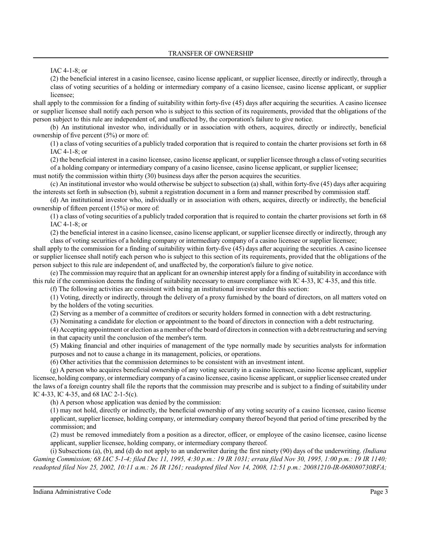IAC 4-1-8; or

(2) the beneficial interest in a casino licensee, casino license applicant, or supplier licensee, directly or indirectly, through a class of voting securities of a holding or intermediary company of a casino licensee, casino license applicant, or supplier licensee;

shall apply to the commission for a finding of suitability within forty-five (45) days after acquiring the securities. A casino licensee or supplier licensee shall notify each person who is subject to this section of its requirements, provided that the obligations of the person subject to this rule are independent of, and unaffected by, the corporation's failure to give notice.

(b) An institutional investor who, individually or in association with others, acquires, directly or indirectly, beneficial ownership of five percent (5%) or more of:

(1) a class of voting securities of a publicly traded corporation that is required to contain the charter provisions set forth in 68 IAC 4-1-8; or

(2) the beneficial interest in a casino licensee, casino license applicant, orsupplier licensee through a class of voting securities of a holding company or intermediary company of a casino licensee, casino license applicant, or supplier licensee;

must notify the commission within thirty (30) business days after the person acquires the securities.

(c) An institutional investor who would otherwise be subject to subsection (a)shall, within forty-five (45) days after acquiring the interests set forth in subsection (b), submit a registration document in a form and manner prescribed by commission staff.

(d) An institutional investor who, individually or in association with others, acquires, directly or indirectly, the beneficial ownership of fifteen percent (15%) or more of:

(1) a class of voting securities of a publicly traded corporation that is required to contain the charter provisions set forth in 68 IAC 4-1-8; or

(2) the beneficial interest in a casino licensee, casino license applicant, or supplier licensee directly or indirectly, through any class of voting securities of a holding company or intermediary company of a casino licensee or supplier licensee;

shall apply to the commission for a finding of suitability within forty-five (45) days after acquiring the securities. A casino licensee or supplier licensee shall notify each person who is subject to this section of its requirements, provided that the obligations of the person subject to this rule are independent of, and unaffected by, the corporation's failure to give notice.

(e) The commission may require that an applicant for an ownership interest apply for a finding ofsuitability in accordance with this rule if the commission deems the finding of suitability necessary to ensure compliance with IC 4-33, IC 4-35, and this title.

(f) The following activities are consistent with being an institutional investor under this section:

(1) Voting, directly or indirectly, through the delivery of a proxy furnished by the board of directors, on all matters voted on by the holders of the voting securities.

(2) Serving as a member of a committee of creditors or security holders formed in connection with a debt restructuring.

(3) Nominating a candidate for election or appointment to the board of directors in connection with a debt restructuring.

(4) Accepting appointment or election as amember ofthe board of directors in connection with a debt restructuring and serving in that capacity until the conclusion of the member's term.

(5) Making financial and other inquiries of management of the type normally made by securities analysts for information purposes and not to cause a change in its management, policies, or operations.

(6) Other activities that the commission determines to be consistent with an investment intent.

(g) A person who acquires beneficial ownership of any voting security in a casino licensee, casino license applicant, supplier licensee, holding company, or intermediary company of a casino licensee, casino license applicant, or supplier licensee created under the laws of a foreign country shall file the reports that the commission may prescribe and is subject to a finding of suitability under IC 4-33, IC 4-35, and 68 IAC 2-1-5(c).

(h) A person whose application was denied by the commission:

(1) may not hold, directly or indirectly, the beneficial ownership of any voting security of a casino licensee, casino license applicant, supplier licensee, holding company, or intermediary company thereof beyond that period of time prescribed by the commission; and

(2) must be removed immediately from a position as a director, officer, or employee of the casino licensee, casino license applicant, supplier licensee, holding company, or intermediary company thereof.

(i) Subsections (a), (b), and (d) do not apply to an underwriter during the first ninety (90) days of the underwriting. *(Indiana Gaming Commission; 68 IAC 5-1-4; filed Dec 11, 1995, 4:30 p.m.: 19 IR 1031; errata filed Nov 30, 1995, 1:00 p.m.: 19 IR 1140; readopted filed Nov 25, 2002, 10:11 a.m.: 26 IR 1261; readopted filed Nov 14, 2008, 12:51 p.m.: 20081210-IR-068080730RFA;*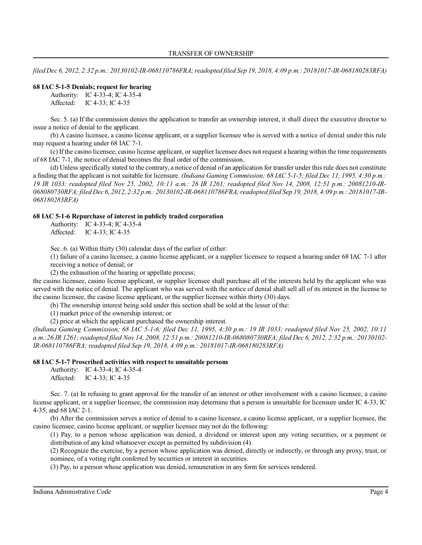*filed Dec 6, 2012, 2:32 p.m.: 20130102-IR-068110786FRA;readopted filed Sep 19, 2018, 4:09 p.m.: 20181017-IR-068180283RFA)*

## **68 IAC 5-1-5 Denials; request for hearing**

Authority: IC 4-33-4; IC 4-35-4 Affected: IC 4-33; IC 4-35

Sec. 5. (a) If the commission denies the application to transfer an ownership interest, it shall direct the executive director to issue a notice of denial to the applicant.

(b) A casino licensee, a casino license applicant, or a supplier licensee who is served with a notice of denial under this rule may request a hearing under 68 IAC 7-1.

(c) Ifthe casino licensee, casino license applicant, orsupplier licensee does not request a hearing within the time requirements of 68 IAC 7-1, the notice of denial becomes the final order of the commission.

(d) Unless specifically stated to the contrary, a notice of denial of an application for transfer under this rule does not constitute a finding that the applicant is not suitable for licensure. *(Indiana Gaming Commission; 68 IAC 5-1-5; filed Dec 11, 1995, 4:30 p.m.: 19 IR 1033; readopted filed Nov 25, 2002, 10:11 a.m.: 26 IR 1261; readopted filed Nov 14, 2008, 12:51 p.m.: 20081210-IR-068080730RFA;filed Dec 6, 2012, 2:32 p.m.: 20130102-IR-068110786FRA;readopted filed Sep 19, 2018, 4:09 p.m.: 20181017-IR-068180283RFA)*

#### **68 IAC 5-1-6 Repurchase of interest in publicly traded corporation**

Authority: IC 4-33-4; IC 4-35-4 Affected: IC 4-33; IC 4-35

Sec. 6. (a) Within thirty (30) calendar days of the earlier of either:

(1) failure of a casino licensee, a casino license applicant, or a supplier licensee to request a hearing under 68 IAC 7-1 after receiving a notice of denial; or

(2) the exhaustion of the hearing or appellate process;

the casino licensee, casino license applicant, or supplier licensee shall purchase all of the interests held by the applicant who was served with the notice of denial. The applicant who was served with the notice of denial shall sell all of its interest in the license to the casino licensee, the casino license applicant, or the supplier licensee within thirty (30) days.

(b) The ownership interest being sold under this section shall be sold at the lesser of the:

(1) market price of the ownership interest; or

(2) price at which the applicant purchased the ownership interest.

*(Indiana Gaming Commission; 68 IAC 5-1-6; filed Dec 11, 1995, 4:30 p.m.: 19 IR 1033; readopted filed Nov 25, 2002, 10:11 a.m.:26 IR 1261; readopted filed Nov 14, 2008, 12:51 p.m.: 20081210-IR-068080730RFA; filed Dec 6, 2012, 2:32 p.m.: 20130102- IR-068110786FRA; readopted filed Sep 19, 2018, 4:09 p.m.: 20181017-IR-068180283RFA)*

## **68 IAC 5-1-7 Proscribed activities with respect to unsuitable persons**

Authority: IC 4-33-4; IC 4-35-4 Affected: IC 4-33; IC 4-35

Sec. 7. (a) In refusing to grant approval for the transfer of an interest or other involvement with a casino licensee, a casino license applicant, or a supplier licensee, the commission may determine that a person is unsuitable for licensure under IC 4-33, IC 4-35, and 68 IAC 2-1.

(b) After the commission serves a notice of denial to a casino licensee, a casino license applicant, or a supplier licensee, the casino licensee, casino license applicant, or supplier licensee may not do the following:

(1) Pay, to a person whose application was denied, a dividend or interest upon any voting securities, or a payment or distribution of any kind whatsoever except as permitted by subdivision (4).

(2) Recognize the exercise, by a person whose application was denied, directly or indirectly, or through any proxy, trust, or nominee, of a voting right conferred by securities or interest in securities.

(3) Pay, to a person whose application was denied, remuneration in any form for services rendered.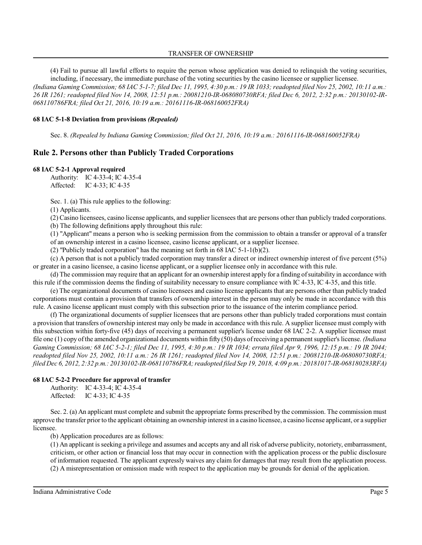## TRANSFER OF OWNERSHIP

(4) Fail to pursue all lawful efforts to require the person whose application was denied to relinquish the voting securities, including, if necessary, the immediate purchase of the voting securities by the casino licensee or supplier licensee.

*(Indiana Gaming Commission; 68 IAC 5-1-7; filed Dec 11, 1995, 4:30 p.m.: 19 IR 1033; readopted filed Nov 25, 2002, 10:11 a.m.: 26 IR 1261; readopted filed Nov 14, 2008, 12:51 p.m.: 20081210-IR-068080730RFA; filed Dec 6, 2012, 2:32 p.m.: 20130102-IR-068110786FRA; filed Oct 21, 2016, 10:19 a.m.: 20161116-IR-068160052FRA)*

## **68 IAC 5-1-8 Deviation from provisions** *(Repealed)*

Sec. 8. *(Repealed by Indiana Gaming Commission; filed Oct 21, 2016, 10:19 a.m.: 20161116-IR-068160052FRA)*

# **Rule 2. Persons other than Publicly Traded Corporations**

## **68 IAC 5-2-1 Approval required**

Authority: IC 4-33-4; IC 4-35-4 Affected: IC 4-33; IC 4-35

Sec. 1. (a) This rule applies to the following:

(1) Applicants.

(2) Casino licensees, casino license applicants, and supplier licensees that are persons other than publicly traded corporations. (b) The following definitions apply throughout this rule:

(1) "Applicant" means a person who is seeking permission from the commission to obtain a transfer or approval of a transfer of an ownership interest in a casino licensee, casino license applicant, or a supplier licensee.

(2) "Publicly traded corporation" has the meaning set forth in 68 IAC 5-1-1(b)(2).

(c) A person that is not a publicly traded corporation may transfer a direct or indirect ownership interest of five percent (5%) or greater in a casino licensee, a casino license applicant, or a supplier licensee only in accordance with this rule.

(d) The commission may require that an applicant for an ownership interest apply for a finding ofsuitability in accordance with this rule if the commission deems the finding of suitability necessary to ensure compliance with IC 4-33, IC 4-35, and this title.

(e) The organizational documents of casino licensees and casino license applicants that are persons other than publicly traded corporations must contain a provision that transfers of ownership interest in the person may only be made in accordance with this rule. A casino license applicant must comply with this subsection prior to the issuance of the interim compliance period.

(f) The organizational documents of supplier licensees that are persons other than publicly traded corporations must contain a provision that transfers of ownership interest may only be made in accordance with this rule. A supplier licensee must comply with this subsection within forty-five (45) days of receiving a permanent supplier's license under 68 IAC 2-2. A supplier licensee must file one (1) copy ofthe amended organizational documents within fifty (50) days ofreceiving a permanent supplier's license. *(Indiana Gaming Commission; 68 IAC 5-2-1; filed Dec 11, 1995, 4:30 p.m.: 19 IR 1034; errata filed Apr 9, 1996, 12:15 p.m.: 19 IR 2044; readopted filed Nov 25, 2002, 10:11 a.m.: 26 IR 1261; readopted filed Nov 14, 2008, 12:51 p.m.: 20081210-IR-068080730RFA; filed Dec 6, 2012, 2:32 p.m.: 20130102-IR-068110786FRA;readopted filed Sep 19, 2018, 4:09 p.m.: 20181017-IR-068180283RFA)*

## **68 IAC 5-2-2 Procedure for approval of transfer**

Authority: IC 4-33-4; IC 4-35-4 Affected: IC 4-33; IC 4-35

Sec. 2. (a) An applicant must complete and submit the appropriate forms prescribed by the commission. The commission must approve the transfer priorto the applicant obtaining an ownership interest in a casino licensee, a casino license applicant, or a supplier licensee.

(b) Application procedures are as follows:

(1) An applicant isseeking a privilege and assumes and accepts any and all risk of adverse publicity, notoriety, embarrassment, criticism, or other action or financial loss that may occur in connection with the application process or the public disclosure of information requested. The applicant expressly waives any claim for damages that may result from the application process. (2) A misrepresentation or omission made with respect to the application may be grounds for denial of the application.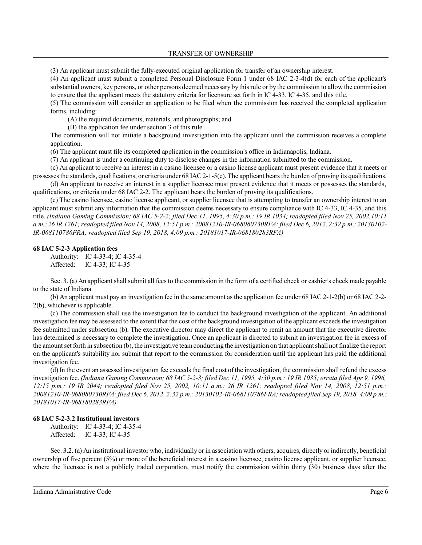TRANSFER OF OWNERSHIP

(3) An applicant must submit the fully-executed original application for transfer of an ownership interest.

(4) An applicant must submit a completed Personal Disclosure Form 1 under 68 IAC 2-3-4(d) for each of the applicant's substantial owners, key persons, or other persons deemed necessary by thisrule or by the commission to allow the commission to ensure that the applicant meets the statutory criteria for licensure set forth in IC 4-33, IC 4-35, and this title.

(5) The commission will consider an application to be filed when the commission has received the completed application forms, including:

(A) the required documents, materials, and photographs; and

(B) the application fee under section 3 of this rule.

The commission will not initiate a background investigation into the applicant until the commission receives a complete application.

(6) The applicant must file its completed application in the commission's office in Indianapolis, Indiana.

(7) An applicant is under a continuing duty to disclose changes in the information submitted to the commission.

(c) An applicant to receive an interest in a casino licensee or a casino license applicant must present evidence that it meets or possesses the standards, qualifications, or criteria under 68 IAC 2-1-5(c). The applicant bears the burden of proving its qualifications.

(d) An applicant to receive an interest in a supplier licensee must present evidence that it meets or possesses the standards, qualifications, or criteria under 68 IAC 2-2. The applicant bears the burden of proving its qualifications.

(e) The casino licensee, casino license applicant, or supplier licensee that is attempting to transfer an ownership interest to an applicant must submit any information that the commission deems necessary to ensure compliance with IC 4-33, IC 4-35, and this title. *(Indiana Gaming Commission; 68 IAC 5-2-2; filed Dec 11, 1995, 4:30 p.m.: 19 IR 1034; readopted filed Nov 25, 2002,10:11 a.m.: 26 IR 1261;readopted filed Nov 14, 2008, 12:51 p.m.: 20081210-IR-068080730RFA; filed Dec 6, 2012, 2:32 p.m.: 20130102- IR-068110786FRA; readopted filed Sep 19, 2018, 4:09 p.m.: 20181017-IR-068180283RFA)*

## **68 IAC 5-2-3 Application fees**

Authority: IC 4-33-4; IC 4-35-4 Affected: IC 4-33; IC 4-35

Sec. 3. (a) An applicant shall submit all feesto the commission in the form of a certified check or cashier's check made payable to the state of Indiana.

(b) An applicant must pay an investigation fee in the same amount as the application fee under 68 IAC 2-1-2(b) or 68 IAC 2-2- 2(b), whichever is applicable.

(c) The commission shall use the investigation fee to conduct the background investigation of the applicant. An additional investigation fee may be assessed to the extent that the cost of the background investigation ofthe applicant exceeds the investigation fee submitted under subsection (b). The executive director may direct the applicant to remit an amount that the executive director has determined is necessary to complete the investigation. Once an applicant is directed to submit an investigation fee in excess of the amount set forth in subsection (b), the investigative teamconducting the investigation on that applicant shall not finalize the report on the applicant's suitability nor submit that report to the commission for consideration until the applicant has paid the additional investigation fee.

(d) In the event an assessed investigation fee exceeds the final cost of the investigation, the commission shall refund the excess investigation fee. *(Indiana Gaming Commission; 68 IAC 5-2-3; filed Dec 11, 1995, 4:30 p.m.: 19 IR 1035; errata filed Apr 9, 1996, 12:15 p.m.: 19 IR 2044; readopted filed Nov 25, 2002, 10:11 a.m.: 26 IR 1261; readopted filed Nov 14, 2008, 12:51 p.m.: 20081210-IR-068080730RFA;filed Dec 6, 2012, 2:32 p.m.: 20130102-IR-068110786FRA;readopted filed Sep 19, 2018, 4:09 p.m.: 20181017-IR-068180283RFA)*

## **68 IAC 5-2-3.2 Institutional investors**

Authority: IC 4-33-4; IC 4-35-4 Affected: IC 4-33; IC 4-35

Sec. 3.2. (a) An institutional investor who, individually or in association with others, acquires, directly or indirectly, beneficial ownership of five percent (5%) or more of the beneficial interest in a casino licensee, casino license applicant, or supplier licensee, where the licensee is not a publicly traded corporation, must notify the commission within thirty (30) business days after the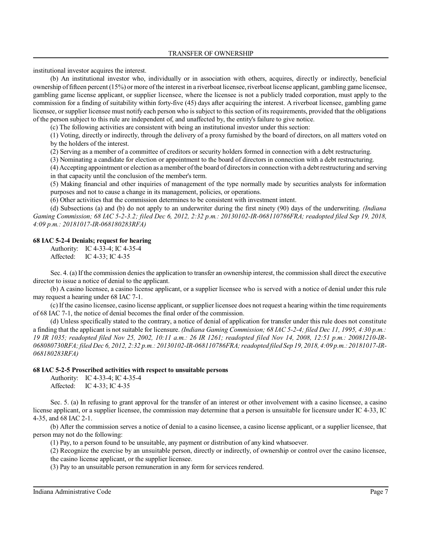institutional investor acquires the interest.

(b) An institutional investor who, individually or in association with others, acquires, directly or indirectly, beneficial ownership of fifteen percent (15%) or more of the interest in a riverboat licensee, riverboat license applicant, gambling game licensee, gambling game license applicant, or supplier licensee, where the licensee is not a publicly traded corporation, must apply to the commission for a finding of suitability within forty-five (45) days after acquiring the interest. A riverboat licensee, gambling game licensee, or supplier licensee must notify each person who issubject to this section of its requirements, provided that the obligations of the person subject to this rule are independent of, and unaffected by, the entity's failure to give notice.

(c) The following activities are consistent with being an institutional investor under this section:

(1) Voting, directly or indirectly, through the delivery of a proxy furnished by the board of directors, on all matters voted on by the holders of the interest.

(2) Serving as a member of a committee of creditors or security holders formed in connection with a debt restructuring.

(3) Nominating a candidate for election or appointment to the board of directors in connection with a debt restructuring.

(4) Accepting appointment or election as amember ofthe board of directors in connection with a debt restructuring and serving in that capacity until the conclusion of the member's term.

(5) Making financial and other inquiries of management of the type normally made by securities analysts for information purposes and not to cause a change in its management, policies, or operations.

(6) Other activities that the commission determines to be consistent with investment intent.

(d) Subsections (a) and (b) do not apply to an underwriter during the first ninety (90) days of the underwriting. *(Indiana Gaming Commission; 68 IAC 5-2-3.2; filed Dec 6, 2012, 2:32 p.m.: 20130102-IR-068110786FRA; readopted filed Sep 19, 2018, 4:09 p.m.: 20181017-IR-068180283RFA)*

## **68 IAC 5-2-4 Denials; request for hearing**

Authority: IC 4-33-4; IC 4-35-4 Affected: IC 4-33; IC 4-35

Sec. 4. (a) If the commission denies the application to transfer an ownership interest, the commission shall direct the executive director to issue a notice of denial to the applicant.

(b) A casino licensee, a casino license applicant, or a supplier licensee who is served with a notice of denial under this rule may request a hearing under 68 IAC 7-1.

(c) If the casino licensee, casino license applicant, orsupplier licensee does not request a hearing within the time requirements of 68 IAC 7-1, the notice of denial becomes the final order of the commission.

(d) Unless specifically stated to the contrary, a notice of denial of application for transfer under this rule does not constitute a finding that the applicant is not suitable for licensure. *(Indiana Gaming Commission; 68 IAC 5-2-4; filed Dec 11, 1995, 4:30 p.m.: 19 IR 1035; readopted filed Nov 25, 2002, 10:11 a.m.: 26 IR 1261; readopted filed Nov 14, 2008, 12:51 p.m.: 20081210-IR-068080730RFA;filed Dec 6, 2012, 2:32 p.m.: 20130102-IR-068110786FRA;readopted filed Sep 19, 2018, 4:09 p.m.: 20181017-IR-068180283RFA)*

## **68 IAC 5-2-5 Proscribed activities with respect to unsuitable persons**

Authority: IC 4-33-4; IC 4-35-4 Affected: IC 4-33; IC 4-35

Sec. 5. (a) In refusing to grant approval for the transfer of an interest or other involvement with a casino licensee, a casino license applicant, or a supplier licensee, the commission may determine that a person is unsuitable for licensure under IC 4-33, IC 4-35, and 68 IAC 2-1.

(b) After the commission serves a notice of denial to a casino licensee, a casino license applicant, or a supplier licensee, that person may not do the following:

(1) Pay, to a person found to be unsuitable, any payment or distribution of any kind whatsoever.

(2) Recognize the exercise by an unsuitable person, directly or indirectly, of ownership or control over the casino licensee, the casino license applicant, or the supplier licensee.

(3) Pay to an unsuitable person remuneration in any form for services rendered.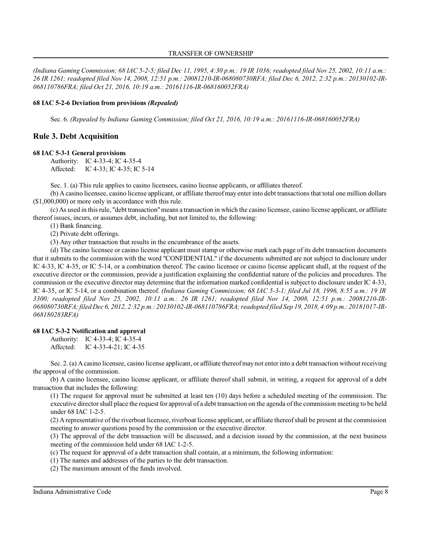*(Indiana Gaming Commission; 68 IAC 5-2-5; filed Dec 11, 1995, 4:30 p.m.: 19 IR 1036; readopted filed Nov 25, 2002, 10:11 a.m.: 26 IR 1261; readopted filed Nov 14, 2008, 12:51 p.m.: 20081210-IR-068080730RFA; filed Dec 6, 2012, 2:32 p.m.: 20130102-IR-068110786FRA; filed Oct 21, 2016, 10:19 a.m.: 20161116-IR-068160052FRA)*

## **68 IAC 5-2-6 Deviation from provisions** *(Repealed)*

Sec. 6. *(Repealed by Indiana Gaming Commission; filed Oct 21, 2016, 10:19 a.m.: 20161116-IR-068160052FRA)*

## **Rule 3. Debt Acquisition**

#### **68 IAC 5-3-1 General provisions**

Authority: IC 4-33-4; IC 4-35-4 Affected: IC 4-33; IC 4-35; IC 5-14

Sec. 1. (a) This rule applies to casino licensees, casino license applicants, or affiliates thereof.

(b) A casino licensee, casino license applicant, or affiliate thereofmay enterinto debt transactionsthat total one million dollars (\$1,000,000) or more only in accordance with this rule.

(c) As used in thisrule, "debt transaction"means a transaction in which the casino licensee, casino license applicant, or affiliate thereof issues, incurs, or assumes debt, including, but not limited to, the following:

(1) Bank financing.

(2) Private debt offerings.

(3) Any other transaction that results in the encumbrance of the assets.

(d) The casino licensee or casino license applicant must stamp or otherwise mark each page of its debt transaction documents that it submits to the commission with the word "CONFIDENTIAL" if the documents submitted are not subject to disclosure under IC 4-33, IC 4-35, or IC 5-14, or a combination thereof. The casino licensee or casino license applicant shall, at the request of the executive director or the commission, provide a justification explaining the confidential nature of the policies and procedures. The commission or the executive director may determine that the information marked confidential issubject to disclosure under IC 4-33, IC 4-35, or IC 5-14, or a combination thereof. *(Indiana Gaming Commission; 68 IAC 5-3-1; filed Jul 18, 1996, 8:55 a.m.: 19 IR 3300; readopted filed Nov 25, 2002, 10:11 a.m.: 26 IR 1261; readopted filed Nov 14, 2008, 12:51 p.m.: 20081210-IR-068080730RFA;filed Dec 6, 2012, 2:32 p.m.: 20130102-IR-068110786FRA;readopted filed Sep 19, 2018, 4:09 p.m.: 20181017-IR-068180283RFA)*

## **68 IAC 5-3-2 Notification and approval**

Authority: IC 4-33-4; IC 4-35-4 Affected: IC 4-33-4-21; IC 4-35

Sec. 2. (a) Acasino licensee, casino license applicant, or affiliate thereofmay not enterinto a debt transaction without receiving the approval of the commission.

(b) A casino licensee, casino license applicant, or affiliate thereof shall submit, in writing, a request for approval of a debt transaction that includes the following:

(1) The request for approval must be submitted at least ten (10) days before a scheduled meeting of the commission. The executive directorshall place the request for approval of a debt transaction on the agenda of the commission meeting to be held under 68 IAC 1-2-5.

(2) A representative of the riverboat licensee, riverboat license applicant, or affiliate thereofshall be present at the commission meeting to answer questions posed by the commission or the executive director.

(3) The approval of the debt transaction will be discussed, and a decision issued by the commission, at the next business meeting of the commission held under 68 IAC 1-2-5.

(c) The request for approval of a debt transaction shall contain, at a minimum, the following information:

(1) The names and addresses of the parties to the debt transaction.

(2) The maximum amount of the funds involved.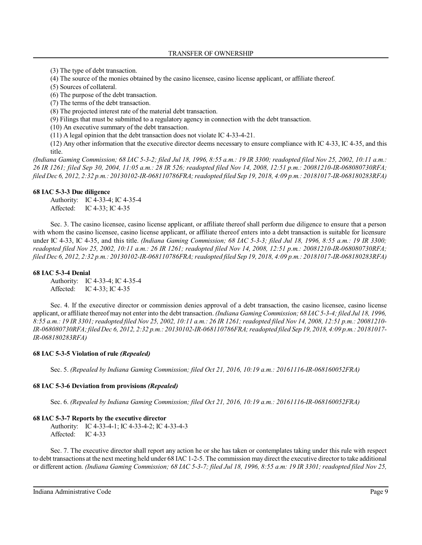(3) The type of debt transaction.

(4) The source of the monies obtained by the casino licensee, casino license applicant, or affiliate thereof.

(5) Sources of collateral.

(6) The purpose of the debt transaction.

(7) The terms of the debt transaction.

(8) The projected interest rate of the material debt transaction.

(9) Filings that must be submitted to a regulatory agency in connection with the debt transaction.

(10) An executive summary of the debt transaction.

(11) A legal opinion that the debt transaction does not violate IC 4-33-4-21.

(12) Any other information that the executive director deems necessary to ensure compliance with IC 4-33, IC 4-35, and this title.

*(Indiana Gaming Commission; 68 IAC 5-3-2; filed Jul 18, 1996, 8:55 a.m.: 19 IR 3300; readopted filed Nov 25, 2002, 10:11 a.m.: 26 IR 1261; filed Sep 30, 2004, 11:05 a.m.: 28 IR 526; readopted filed Nov 14, 2008, 12:51 p.m.: 20081210-IR-068080730RFA; filed Dec 6, 2012, 2:32 p.m.: 20130102-IR-068110786FRA;readopted filed Sep 19, 2018, 4:09 p.m.: 20181017-IR-068180283RFA)*

#### **68 IAC 5-3-3 Due diligence**

Authority: IC 4-33-4; IC 4-35-4 Affected: IC 4-33; IC 4-35

Sec. 3. The casino licensee, casino license applicant, or affiliate thereof shall perform due diligence to ensure that a person with whom the casino licensee, casino license applicant, or affiliate thereof enters into a debt transaction is suitable for licensure under IC 4-33, IC 4-35, and this title. *(Indiana Gaming Commission; 68 IAC 5-3-3; filed Jul 18, 1996, 8:55 a.m.: 19 IR 3300; readopted filed Nov 25, 2002, 10:11 a.m.: 26 IR 1261; readopted filed Nov 14, 2008, 12:51 p.m.: 20081210-IR-068080730RFA; filed Dec 6, 2012, 2:32 p.m.: 20130102-IR-068110786FRA;readopted filed Sep 19, 2018, 4:09 p.m.: 20181017-IR-068180283RFA)*

## **68 IAC 5-3-4 Denial**

Authority: IC 4-33-4; IC 4-35-4 Affected: IC 4-33; IC 4-35

Sec. 4. If the executive director or commission denies approval of a debt transaction, the casino licensee, casino license applicant, or affiliate thereof may not enter into the debt transaction. *(Indiana Gaming Commission; 68 IAC 5-3-4; filed Jul 18, 1996, 8:55 a.m.: 19 IR 3301;readopted filed Nov 25, 2002, 10:11 a.m.: 26 IR 1261; readopted filed Nov 14, 2008, 12:51 p.m.: 20081210- IR-068080730RFA;filed Dec 6, 2012, 2:32 p.m.: 20130102-IR-068110786FRA;readopted filed Sep 19, 2018, 4:09 p.m.: 20181017- IR-068180283RFA)*

## **68 IAC 5-3-5 Violation of rule** *(Repealed)*

Sec. 5. *(Repealed by Indiana Gaming Commission; filed Oct 21, 2016, 10:19 a.m.: 20161116-IR-068160052FRA)*

## **68 IAC 5-3-6 Deviation from provisions** *(Repealed)*

Sec. 6. *(Repealed by Indiana Gaming Commission; filed Oct 21, 2016, 10:19 a.m.: 20161116-IR-068160052FRA)*

#### **68 IAC 5-3-7 Reports by the executive director**

Authority: IC 4-33-4-1; IC 4-33-4-2; IC 4-33-4-3 Affected: IC 4-33

Sec. 7. The executive director shall report any action he or she has taken or contemplates taking under this rule with respect to debt transactions at the next meeting held under 68 IAC 1-2-5. The commission may direct the executive director to take additional or different action. *(Indiana Gaming Commission; 68 IAC 5-3-7; filed Jul 18, 1996, 8:55 a.m: 19 IR 3301; readopted filed Nov 25,*